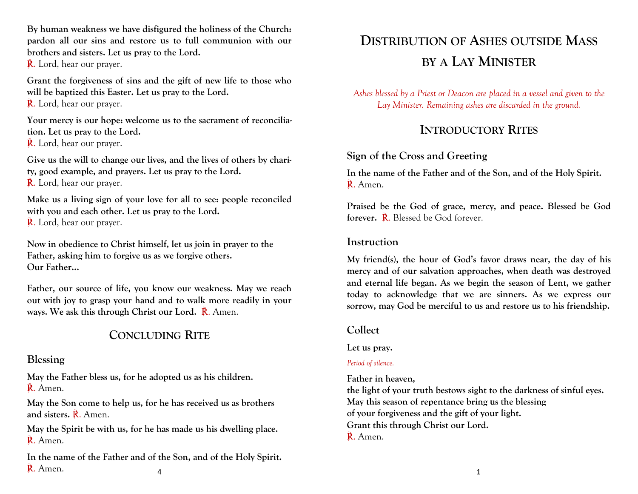**By human weakness we have disfigured the holiness of the Church: pardon all our sins and restore us to full communion with our brothers and sisters. Let us pray to the Lord.**

R. Lord, hear our prayer.

**Grant the forgiveness of sins and the gift of new life to those who will be baptized this Easter. Let us pray to the Lord.**  R. Lord, hear our prayer.

**Your mercy is our hope: welcome us to the sacrament of reconciliation. Let us pray to the Lord.**  R. Lord, hear our prayer.

**Give us the will to change our lives, and the lives of others by charity, good example, and prayers. Let us pray to the Lord.**  R. Lord, hear our prayer.

**Make us a living sign of your love for all to see: people reconciled with you and each other. Let us pray to the Lord.**  R. Lord, hear our prayer.

**Now in obedience to Christ himself, let us join in prayer to the Father, asking him to forgive us as we forgive others.**

**Our Father…**

**Father, our source of life, you know our weakness. May we reach out with joy to grasp your hand and to walk more readily in your ways. We ask this through Christ our Lord.** ℟. Amen.

# **CONCLUDING RITE**

#### **Blessing**

**May the Father bless us, for he adopted us as his children.**  ℟. Amen.

**May the Son come to help us, for he has received us as brothers and sisters.** ℟. Amen.

**May the Spirit be with us, for he has made us his dwelling place.**  ℟. Amen.

**In the name of the Father and of the Son, and of the Holy Spirit.**  $\mathbb{R}$ . Amen. 1

# **DISTRIBUTION OF ASHES OUTSIDE MASS BY A LAY MINISTER**

*Ashes blessed by a Priest or Deacon are placed in a vessel and given to the*  Lay Minister. Remaining ashes are discarded in the ground.

## **INTRODUCTORY RITES**

## **Sign of the Cross and Greeting**

**In the name of the Father and of the Son, and of the Holy Spirit.** ℟. Amen.

**Praised be the God of grace, mercy, and peace. Blessed be God forever.** ℟. Blessed be God forever.

## **Instruction**

**My friend(s), the hour of God's favor draws near, the day of his mercy and of our salvation approaches, when death was destroyed and eternal life began. As we begin the season of Lent, we gather today to acknowledge that we are sinners. As we express our sorrow, may God be merciful to us and restore us to his friendship.**

## **Collect**

#### **Let us pray.**

#### *Period of silence.*

**Father in heaven,** 

**the light of your truth bestows sight to the darkness of sinful eyes. May this season of repentance bring us the blessing of your forgiveness and the gift of your light. Grant this through Christ our Lord.** R. Amen.

4